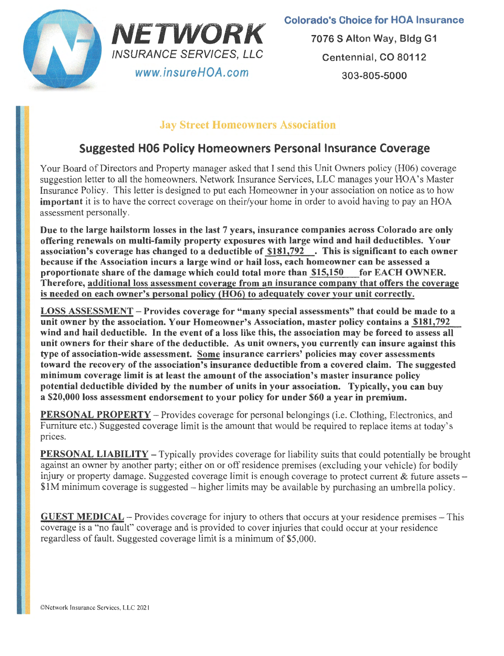



7076 S Alton Way, Bldg G1 Centennial, CO 80112 303-805-5000

## Jay Street Homeowners Association

## Suggested H06 Policy Homeowners Personal Insurance Coverage

Your Board of Directors and Property manager asked that I send this Unit Owners policy (H06) coverage suggestion letter to all the homeowners. Network Insurance Services, LLC manages your HOA's Master Insurance Policy. This letter is designed to put each Homeowner in your association on notice as to how important it is to have the correct coverage on their/your home in order to avoid having to pay an HOA assessment personally.

Due to the large hailstorm losses in the last 7 years, insurance companies across Colorado are only offering renewals on multi-family property exposures with large wind and hail deductibles. Your association's coverage has changed to a deductible of \$181,792 . This is significant to each owner because if the Association incurs a large wind or hail loss, each homeowner can be assessed a<br>proportionate share of the damage which could total more than \$15.150 for EACH OWNER. proportionate share of the damage which could total more than \$15,150 Therefore, additional loss assessment coverage from an insurance company that offers the coverage is needed on each owner's personal policy (H06) to adequately cover your unit correctly.

LOSS ASSESSMENT - Provides coverage for "many special assessments" that could be made to a unit owner by the association. Your Homeowner's Association, master policy contains a \$181,792 wind and hail deductible. In the event of a loss like this, the association may be forced to assess all unit owners for their share of the deductible. As unit owners, you currently can insure against this type of association-wide assessment. Some insurance carriers' policies may cover assessments toward the recovery of the association's insurance deductible from a covered claim. The suggested minimum coverage limit is at least the amount of the association's master insurance policy potential deductible divided by the number of units in your association. Typically, you can buy a \$20,000 loss assessment endorsement to your policy for under \$60 a year in premium.

PERSONAL PROPERTY - Provides coverage for personal belongings (i.e. Clothing, Electronics, and Furniture etc.) Suggested coverage limit is the amount that would be required to replace items at today's prices.

**PERSONAL LIABILITY** – Typically provides coverage for liability suits that could potentially be brought against an owner by another party; either on or off residence premises (excluding your vehicle) for bodily injury or property damage. Suggested coverage limit is enough coverage to protect current  $\&$  future assets  $-$ \$1M minimum coverage is suggested-higher limits may be available by purchasing an umbrella policy.

GUEST MEDICAL - Provides coverage for injury to others that occurs at your residence premises - This coverage is a "no fault" coverage and is provided to cover injuries that could occur at your residence regardless of fault. Suggested coverage limit is a minimum of \$5,000.